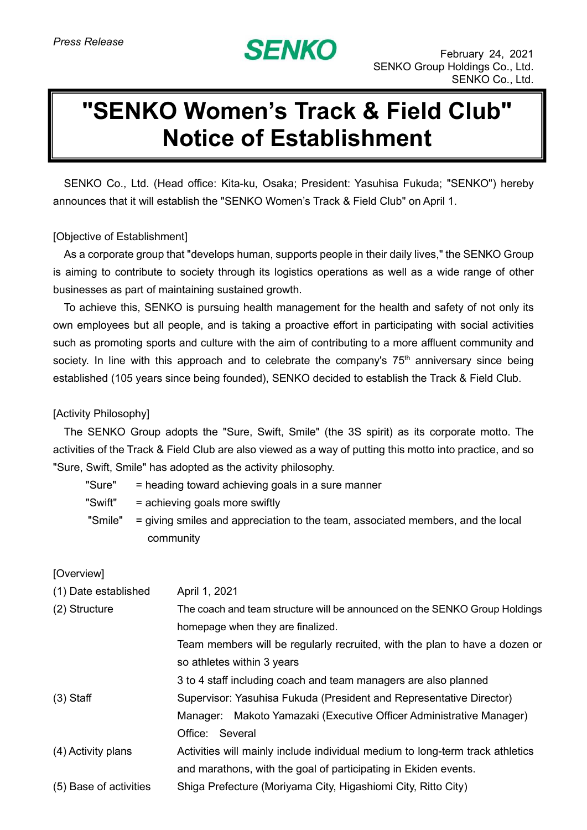

## **"SENKO Women's Track & Field Club" Notice of Establishment**

SENKO Co., Ltd. (Head office: Kita-ku, Osaka; President: Yasuhisa Fukuda; "SENKO") hereby announces that it will establish the "SENKO Women's Track & Field Club" on April 1.

## [Objective of Establishment]

As a corporate group that "develops human, supports people in their daily lives," the SENKO Group is aiming to contribute to society through its logistics operations as well as a wide range of other businesses as part of maintaining sustained growth.

To achieve this, SENKO is pursuing health management for the health and safety of not only its own employees but all people, and is taking a proactive effort in participating with social activities such as promoting sports and culture with the aim of contributing to a more affluent community and society. In line with this approach and to celebrate the company's 75<sup>th</sup> anniversary since being established (105 years since being founded), SENKO decided to establish the Track & Field Club.

## [Activity Philosophy]

The SENKO Group adopts the "Sure, Swift, Smile" (the 3S spirit) as its corporate motto. The activities of the Track & Field Club are also viewed as a way of putting this motto into practice, and so "Sure, Swift, Smile" has adopted as the activity philosophy.

| "Sure"  | = heading toward achieving goals in a sure manner                               |  |
|---------|---------------------------------------------------------------------------------|--|
| "Swift" | = achieving goals more swiftly                                                  |  |
| "Smile" | = giving smiles and appreciation to the team, associated members, and the local |  |
|         | community                                                                       |  |
|         |                                                                                 |  |

## [Overview]

| (1) Date established   | April 1, 2021                                                                 |
|------------------------|-------------------------------------------------------------------------------|
| (2) Structure          | The coach and team structure will be announced on the SENKO Group Holdings    |
|                        | homepage when they are finalized.                                             |
|                        | Team members will be regularly recruited, with the plan to have a dozen or    |
|                        | so athletes within 3 years                                                    |
|                        | 3 to 4 staff including coach and team managers are also planned               |
| $(3)$ Staff            | Supervisor: Yasuhisa Fukuda (President and Representative Director)           |
|                        | Makoto Yamazaki (Executive Officer Administrative Manager)<br>Manager:        |
|                        | Office: Several                                                               |
| (4) Activity plans     | Activities will mainly include individual medium to long-term track athletics |
|                        | and marathons, with the goal of participating in Ekiden events.               |
| (5) Base of activities | Shiga Prefecture (Moriyama City, Higashiomi City, Ritto City)                 |